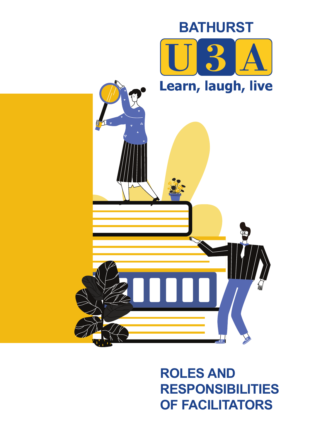

# **ROLES AND RESPONSIBILITIES OF FACILITATORS**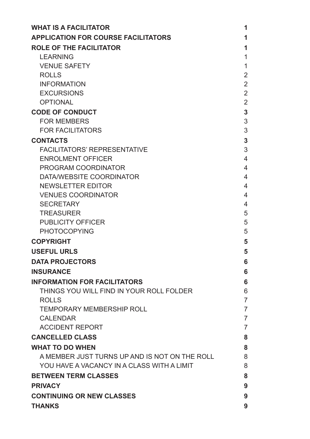| <b>WHAT IS A FACILITATOR</b>                  | 1              |
|-----------------------------------------------|----------------|
| <b>APPLICATION FOR COURSE FACILITATORS</b>    | 1              |
| <b>ROLE OF THE FACILITATOR</b>                | 1              |
| <b>LEARNING</b>                               | 1              |
| <b>VENUE SAFETY</b>                           | 1              |
| <b>ROLLS</b>                                  | 2              |
| <b>INFORMATION</b>                            | $\overline{2}$ |
| <b>EXCURSIONS</b>                             | $\overline{2}$ |
| <b>OPTIONAL</b>                               | $\overline{2}$ |
| <b>CODE OF CONDUCT</b>                        | 3              |
| <b>FOR MEMBERS</b>                            | 3              |
| <b>FOR FACILITATORS</b>                       | 3              |
| <b>CONTACTS</b>                               | 3              |
| <b>FACILITATORS' REPRESENTATIVE</b>           | 3              |
| <b>ENROLMENT OFFICER</b>                      | 4              |
| PROGRAM COORDINATOR                           | 4              |
| DATA/WEBSITE COORDINATOR                      | 4              |
| <b>NEWSLETTER EDITOR</b>                      | 4              |
| <b>VENUES COORDINATOR</b>                     | 4              |
| <b>SECRETARY</b>                              | 4              |
| <b>TREASURER</b>                              | 5              |
| <b>PUBLICITY OFFICER</b>                      | 5              |
| <b>PHOTOCOPYING</b>                           | 5              |
| <b>COPYRIGHT</b>                              | 5              |
| <b>USEFUL URLS</b>                            | 5              |
| <b>DATA PROJECTORS</b>                        | 6              |
| <b>INSURANCE</b>                              | 6              |
| <b>INFORMATION FOR FACILITATORS</b>           | 6              |
| THINGS YOU WILL FIND IN YOUR ROLL FOLDER      | 6              |
| <b>ROLLS</b>                                  | 7              |
| <b>TEMPORARY MEMBERSHIP ROLL</b>              | 7              |
| <b>CALENDAR</b>                               | 7              |
| <b>ACCIDENT REPORT</b>                        | 7              |
| <b>CANCELLED CLASS</b>                        | 8              |
| <b>WHAT TO DO WHEN</b>                        | 8              |
| A MEMBER JUST TURNS UP AND IS NOT ON THE ROLL | 8              |
| YOU HAVE A VACANCY IN A CLASS WITH A LIMIT    | 8              |
| <b>BETWEEN TERM CLASSES</b>                   | 8              |
| <b>PRIVACY</b>                                | 9              |
| <b>CONTINUING OR NEW CLASSES</b>              | 9              |
| <b>THANKS</b>                                 | 9              |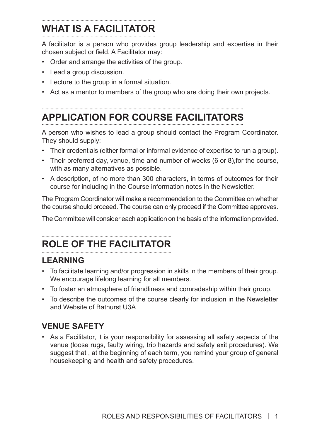## **WHAT IS A FACILITATOR**

A facilitator is a person who provides group leadership and expertise in their chosen subject or field. A Facilitator may:

- Order and arrange the activities of the group.
- Lead a group discussion.
- Lecture to the group in a formal situation.
- Act as a mentor to members of the group who are doing their own projects.

## **APPLICATION FOR COURSE FACILITATORS**

A person who wishes to lead a group should contact the Program Coordinator. They should supply:

- Their credentials (either formal or informal evidence of expertise to run a group).
- Their preferred day, venue, time and number of weeks (6 or 8),for the course, with as many alternatives as possible.
- A description, of no more than 300 characters, in terms of outcomes for their course for including in the Course information notes in the Newsletter.

The Program Coordinator will make a recommendation to the Committee on whether the course should proceed. The course can only proceed if the Committee approves.

The Committee will consider each application on the basis of the information provided.

# **ROLE OF THE FACILITATOR**

## **LEARNING**

- To facilitate learning and/or progression in skills in the members of their group. We encourage lifelong learning for all members.
- To foster an atmosphere of friendliness and comradeship within their group.
- To describe the outcomes of the course clearly for inclusion in the Newsletter and Website of Bathurst U3A

## **VENUE SAFETY**

• As a Facilitator, it is your responsibility for assessing all safety aspects of the venue (loose rugs, faulty wiring, trip hazards and safety exit procedures). We suggest that , at the beginning of each term, you remind your group of general housekeeping and health and safety procedures.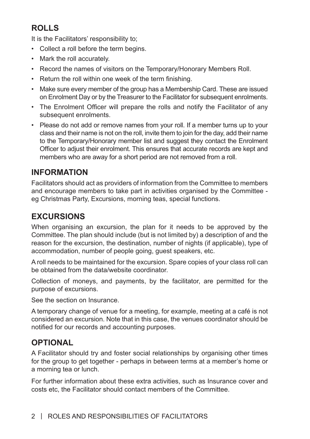## **ROLLS**

It is the Facilitators' responsibility to;

- Collect a roll before the term begins.
- Mark the roll accurately.
- Record the names of visitors on the Temporary/Honorary Members Roll.
- Return the roll within one week of the term finishing.
- Make sure every member of the group has a Membership Card. These are issued on Enrolment Day or by the Treasurer to the Facilitator for subsequent enrolments.
- The Enrolment Officer will prepare the rolls and notify the Facilitator of any subsequent enrolments.
- Please do not add or remove names from your roll. If a member turns up to your class and their name is not on the roll, invite them to join for the day, add their name to the Temporary/Honorary member list and suggest they contact the Enrolment Officer to adjust their enrolment. This ensures that accurate records are kept and members who are away for a short period are not removed from a roll.

### **INFORMATION**

Facilitators should act as providers of information from the Committee to members and encourage members to take part in activities organised by the Committee eg Christmas Party, Excursions, morning teas, special functions.

## **EXCURSIONS**

When organising an excursion, the plan for it needs to be approved by the Committee. The plan should include (but is not limited by) a description of and the reason for the excursion, the destination, number of nights (if applicable), type of accommodation, number of people going, guest speakers, etc.

A roll needs to be maintained for the excursion. Spare copies of your class roll can be obtained from the data/website coordinator.

Collection of moneys, and payments, by the facilitator, are permitted for the purpose of excursions.

See the section on Insurance.

A temporary change of venue for a meeting, for example, meeting at a café is not considered an excursion. Note that in this case, the venues coordinator should be notified for our records and accounting purposes.

## **OPTIONAL**

A Facilitator should try and foster social relationships by organising other times for the group to get together - perhaps in between terms at a member's home or a morning tea or lunch.

For further information about these extra activities, such as Insurance cover and costs etc, the Facilitator should contact members of the Committee.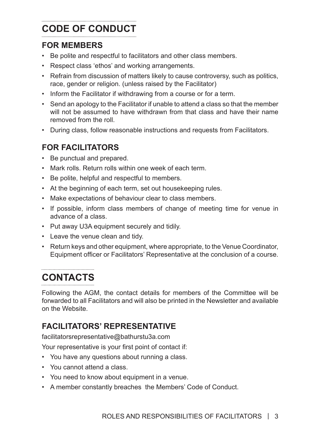## **CODE OF CONDUCT**

### **FOR MEMBERS**

- Be polite and respectful to facilitators and other class members.
- Respect class 'ethos' and working arrangements.
- Refrain from discussion of matters likely to cause controversy, such as politics, race, gender or religion. (unless raised by the Facilitator)
- Inform the Facilitator if withdrawing from a course or for a term.
- Send an apology to the Facilitator if unable to attend a class so that the member will not be assumed to have withdrawn from that class and have their name removed from the roll.
- During class, follow reasonable instructions and requests from Facilitators.

## **FOR FACILITATORS**

- Be punctual and prepared.
- Mark rolls. Return rolls within one week of each term.
- Be polite, helpful and respectful to members.
- At the beginning of each term, set out housekeeping rules.
- Make expectations of behaviour clear to class members.
- If possible, inform class members of change of meeting time for venue in advance of a class.
- Put away U3A equipment securely and tidily.
- Leave the venue clean and tidy.
- Return keys and other equipment, where appropriate, to the Venue Coordinator, Equipment officer or Facilitators' Representative at the conclusion of a course.

## **CONTACTS**

Following the AGM, the contact details for members of the Committee will be forwarded to all Facilitators and will also be printed in the Newsletter and available on the Website.

## **FACILITATORS' REPRESENTATIVE**

facilitatorsrepresentative@bathurstu3a.com

Your representative is your first point of contact if:

- You have any questions about running a class.
- You cannot attend a class.
- You need to know about equipment in a venue.
- A member constantly breaches the Members' Code of Conduct.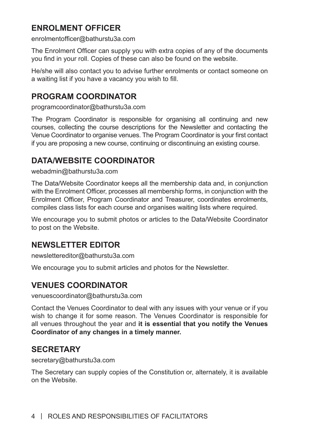## **ENROLMENT OFFICER**

enrolmentofficer@bathurstu3a.com

The Enrolment Officer can supply you with extra copies of any of the documents you find in your roll. Copies of these can also be found on the website.

He/she will also contact you to advise further enrolments or contact someone on a waiting list if you have a vacancy you wish to fill.

### **PROGRAM COORDINATOR**

programcoordinator@bathurstu3a.com

The Program Coordinator is responsible for organising all continuing and new courses, collecting the course descriptions for the Newsletter and contacting the Venue Coordinator to organise venues. The Program Coordinator is your first contact if you are proposing a new course, continuing or discontinuing an existing course.

## **DATA/WEBSITE COORDINATOR**

webadmin@bathurstu3a.com

The Data/Website Coordinator keeps all the membership data and, in conjunction with the Enrolment Officer, processes all membership forms, in conjunction with the Enrolment Officer, Program Coordinator and Treasurer, coordinates enrolments, compiles class lists for each course and organises waiting lists where required.

We encourage you to submit photos or articles to the Data/Website Coordinator to post on the Website.

## **NEWSLETTER EDITOR**

newslettereditor@bathurstu3a.com

We encourage you to submit articles and photos for the Newsletter.

## **VENUES COORDINATOR**

venuescoordinator@bathurstu3a.com

Contact the Venues Coordinator to deal with any issues with your venue or if you wish to change it for some reason. The Venues Coordinator is responsible for all venues throughout the year and **it is essential that you notify the Venues Coordinator of any changes in a timely manner.**

## **SECRETARY**

secretary@bathurstu3a.com

The Secretary can supply copies of the Constitution or, alternately, it is available on the Website.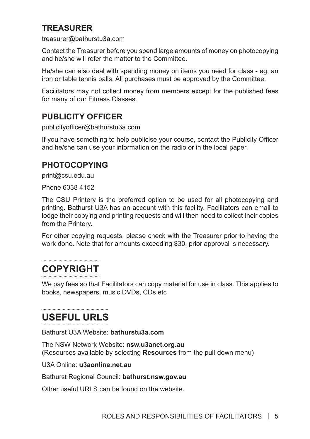## **TREASURER**

treasurer@bathurstu3a.com

Contact the Treasurer before you spend large amounts of money on photocopying and he/she will refer the matter to the Committee.

He/she can also deal with spending money on items you need for class - eg, an iron or table tennis balls. All purchases must be approved by the Committee.

Facilitators may not collect money from members except for the published fees for many of our Fitness Classes.

### **PUBLICITY OFFICER**

publicityofficer@bathurstu3a.com

If you have something to help publicise your course, contact the Publicity Officer and he/she can use your information on the radio or in the local paper.

#### **PHOTOCOPYING**

print@csu.edu.au

Phone 6338 4152

The CSU Printery is the preferred option to be used for all photocopying and printing. Bathurst U3A has an account with this facility. Facilitators can email to lodge their copying and printing requests and will then need to collect their copies from the Printery.

For other copying requests, please check with the Treasurer prior to having the work done. Note that for amounts exceeding \$30, prior approval is necessary.

## **COPYRIGHT**

We pay fees so that Facilitators can copy material for use in class. This applies to books, newspapers, music DVDs, CDs etc

## **USEFUL URLS**

Bathurst U3A Website: **bathurstu3a.com**

The NSW Network Website: **nsw.u3anet.org.au** (Resources available by selecting **Resources** from the pull-down menu)

U3A Online: **u3aonline.net.au**

Bathurst Regional Council: **bathurst.nsw.gov.au**

Other useful URLS can be found on the website.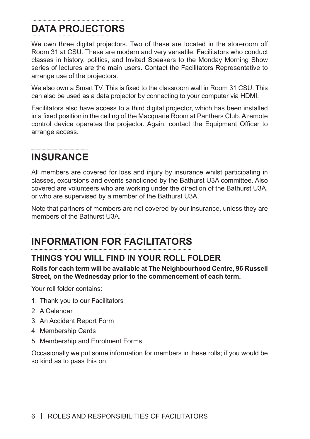#### **DATA PROJECTORS**

We own three digital projectors. Two of these are located in the storeroom off Room 31 at CSU. These are modern and very versatile. Facilitators who conduct classes in history, politics, and Invited Speakers to the Monday Morning Show series of lectures are the main users. Contact the Facilitators Representative to arrange use of the projectors.

We also own a Smart TV. This is fixed to the classroom wall in Room 31 CSU. This can also be used as a data projector by connecting to your computer via HDMI.

Facilitators also have access to a third digital projector, which has been installed in a fixed position in the ceiling of the Macquarie Room at Panthers Club. A remote control device operates the projector. Again, contact the Equipment Officer to arrange access.

## **INSURANCE**

All members are covered for loss and injury by insurance whilst participating in classes, excursions and events sanctioned by the Bathurst U3A committee. Also covered are volunteers who are working under the direction of the Bathurst U3A, or who are supervised by a member of the Bathurst U3A.

Note that partners of members are not covered by our insurance, unless they are members of the Bathurst U3A.

## **INFORMATION FOR FACILITATORS**

## **THINGS YOU WILL FIND IN YOUR ROLL FOLDER**

**Rolls for each term will be available at The Neighbourhood Centre, 96 Russell Street, on the Wednesday prior to the commencement of each term.**

Your roll folder contains:

- 1. Thank you to our Facilitators
- 2. A Calendar
- 3. An Accident Report Form
- 4. Membership Cards
- 5. Membership and Enrolment Forms

Occasionally we put some information for members in these rolls; if you would be so kind as to pass this on.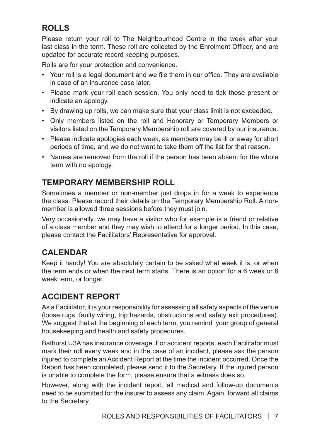## **ROLLS**

Please return your roll to The Neighbourhood Centre in the week after your last class in the term. These roll are collected by the Enrolment Officer, and are updated for accurate record keeping purposes.

Rolls are for your protection and convenience.

- Your roll is a legal document and we file them in our office. They are available in case of an insurance case later.
- Please mark your roll each session. You only need to tick those present or indicate an apology.
- By drawing up rolls, we can make sure that your class limit is not exceeded.
- Only members listed on the roll and Honorary or Temporary Members or visitors listed on the Temporary Membership roll are covered by our insurance.
- Please indicate apologies each week, as members may be ill or away for short periods of time, and we do not want to take them off the list for that reason.
- Names are removed from the roll if the person has been absent for the whole term with no apology.

## **TEMPORARY MEMBERSHIP ROLL**

Sometimes a member or non-member just drops in for a week to experience the class. Please record their details on the Temporary Membership Roll. A nonmember is allowed three sessions before they must join.

Very occasionally, we may have a visitor who for example is a friend or relative of a class member and they may wish to attend for a longer period. In this case, please contact the Facilitators' Representative for approval.

## **CALENDAR**

Keep it handy! You are absolutely certain to be asked what week it is, or when the term ends or when the next term starts. There is an option for a 6 week or 8 week term, or longer.

## **ACCIDENT REPORT**

As a Facilitator, it is your responsibility for assessing all safety aspects of the venue (loose rugs, faulty wiring, trip hazards, obstructions and safety exit procedures). We suggest that at the beginning of each term, you remind your group of general housekeeping and health and safety procedures.

Bathurst U3A has insurance coverage. For accident reports, each Facilitator must mark their roll every week and in the case of an incident, please ask the person injured to complete an Accident Report at the time the incident occurred. Once the Report has been completed, please send it to the Secretary. If the injured person is unable to complete the form, please ensure that a witness does so.

However, along with the incident report, all medical and follow-up documents need to be submitted for the insurer to assess any claim. Again, forward all claims to the Secretary.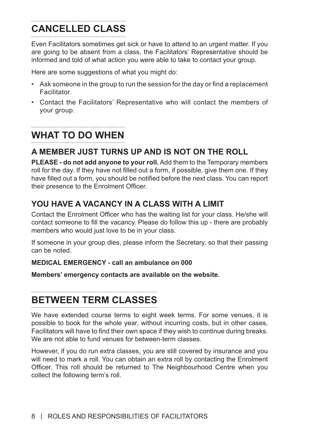## **CANCELLED CLASS**

Even Facilitators sometimes get sick or have to attend to an urgent matter. If you are going to be absent from a class, the Facilitators' Representative should be informed and told of what action you were able to take to contact your group.

Here are some suggestions of what you might do:

- Ask someone in the group to run the session for the day or find a replacement **Facilitator**
- Contact the Facilitators' Representative who will contact the members of your group.

#### **WHAT TO DO WHEN**

## **A MEMBER JUST TURNS UP AND IS NOT ON THE ROLL**

**PLEASE - do not add anyone to your roll.** Add them to the Temporary members roll for the day. If they have not filled out a form, if possible, give them one. If they have filled out a form, you should be notified before the next class. You can report their presence to the Enrolment Officer.

## **YOU HAVE A VACANCY IN A CLASS WITH A LIMIT**

Contact the Enrolment Officer who has the waiting list for your class. He/she will contact someone to fill the vacancy. Please do follow this up - there are probably members who would just love to be in your class.

If someone in your group dies, please inform the Secretary, so that their passing can be noted.

#### **MEDICAL EMERGENCY - call an ambulance on 000**

**Members' emergency contacts are available on the website.**

### **BETWEEN TERM CLASSES**

We have extended course terms to eight week terms. For some venues, it is possible to book for the whole year, without incurring costs, but in other cases, Facilitators will have to find their own space if they wish to continue during breaks. We are not able to fund venues for between-term classes.

However, if you do run extra classes, you are still covered by insurance and you will need to mark a roll. You can obtain an extra roll by contacting the Enrolment Officer. This roll should be returned to The Neighbourhood Centre when you collect the following term's roll.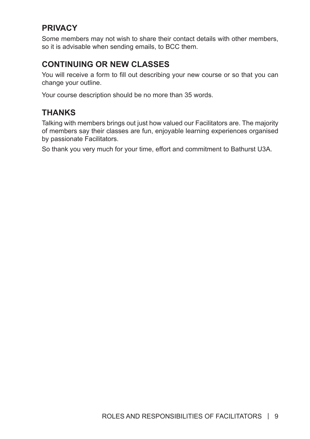## **PRIVACY**

Some members may not wish to share their contact details with other members, so it is advisable when sending emails, to BCC them.

## **CONTINUING OR NEW CLASSES**

You will receive a form to fill out describing your new course or so that you can change your outline.

Your course description should be no more than 35 words.

## **THANKS**

Talking with members brings out just how valued our Facilitators are. The majority of members say their classes are fun, enjoyable learning experiences organised by passionate Facilitators.

So thank you very much for your time, effort and commitment to Bathurst U3A.